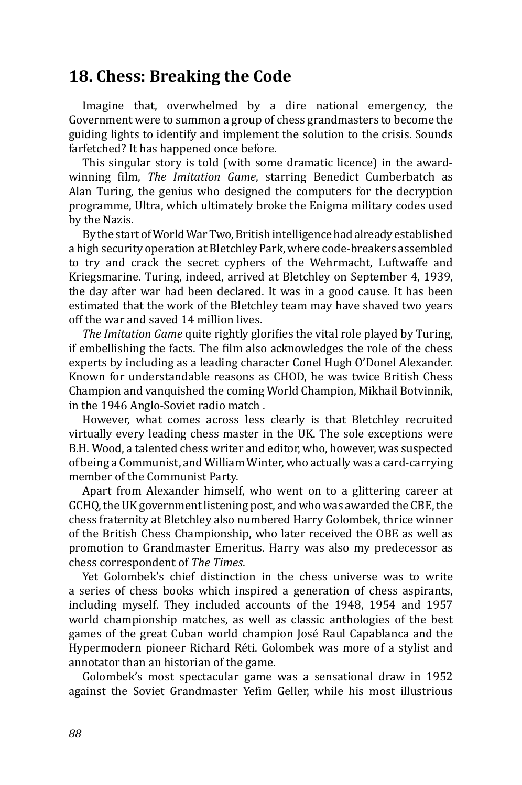## **18. Chess: Breaking the Code**

Imagine that, overwhelmed by a dire national emergency, the Government were to summon a group of chess grandmasters to become the guiding lights to identify and implement the solution to the crisis. Sounds farfetched? It has happened once before.

This singular story is told (with some dramatic licence) in the awardwinning film, *The Imitation Game*, starring Benedict Cumberbatch as Alan Turing, the genius who designed the computers for the decryption programme, Ultra, which ultimately broke the Enigma military codes used by the Nazis.

By the start of World War Two, British intelligence had already established a high security operation at Bletchley Park, where code-breakers assembled to try and crack the secret cyphers of the Wehrmacht, Luftwaffe and Kriegsmarine. Turing, indeed, arrived at Bletchley on September 4, 1939, the day after war had been declared. It was in a good cause. It has been estimated that the work of the Bletchley team may have shaved two years off the war and saved 14 million lives.

*The Imitation Game* quite rightly glorifies the vital role played by Turing, if embellishing the facts. The film also acknowledges the role of the chess experts by including as a leading character Conel Hugh O'Donel Alexander. Known for understandable reasons as CHOD, he was twice British Chess Champion and vanquished the coming World Champion, Mikhail Botvinnik, in the 1946 Anglo-Soviet radio match .

However, what comes across less clearly is that Bletchley recruited virtually every leading chess master in the UK. The sole exceptions were B.H. Wood, a talented chess writer and editor, who, however, was suspected of being a Communist, and William Winter, who actually was a card-carrying member of the Communist Party.

Apart from Alexander himself, who went on to a glittering career at GCHQ, the UK government listening post, and who was awarded the CBE, the chess fraternity at Bletchley also numbered Harry Golombek, thrice winner of the British Chess Championship, who later received the OBE as well as promotion to Grandmaster Emeritus. Harry was also my predecessor as chess correspondent of *The Times*.

Yet Golombek's chief distinction in the chess universe was to write a series of chess books which inspired a generation of chess aspirants, including myself. They included accounts of the 1948, 1954 and 1957 world championship matches, as well as classic anthologies of the best games of the great Cuban world champion José Raul Capablanca and the Hypermodern pioneer Richard Réti. Golombek was more of a stylist and annotator than an historian of the game.

Golombek's most spectacular game was a sensational draw in 1952 against the Soviet Grandmaster Yefim Geller, while his most illustrious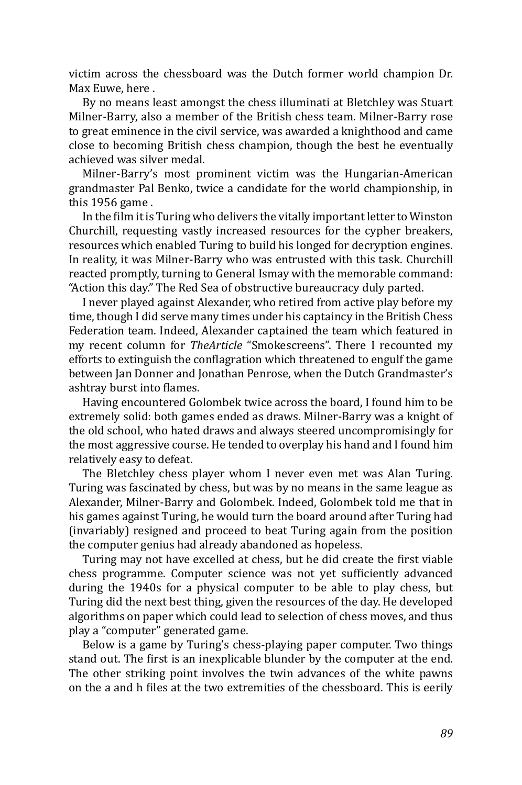victim across the chessboard was the Dutch former world champion Dr. Max Euwe, here .

By no means least amongst the chess illuminati at Bletchley was Stuart Milner-Barry, also a member of the British chess team. Milner-Barry rose to great eminence in the civil service, was awarded a knighthood and came close to becoming British chess champion, though the best he eventually achieved was silver medal.

Milner-Barry's most prominent victim was the Hungarian-American grandmaster Pal Benko, twice a candidate for the world championship, in this 1956 game .

In the film it is Turing who delivers the vitally important letter to Winston Churchill, requesting vastly increased resources for the cypher breakers, resources which enabled Turing to build his longed for decryption engines. In reality, it was Milner-Barry who was entrusted with this task. Churchill reacted promptly, turning to General Ismay with the memorable command: "Action this day." The Red Sea of obstructive bureaucracy duly parted.

I never played against Alexander, who retired from active play before my time, though I did serve many times under his captaincy in the British Chess Federation team. Indeed, Alexander captained the team which featured in my recent column for *TheArticle* "Smokescreens". There I recounted my efforts to extinguish the conflagration which threatened to engulf the game between Jan Donner and Jonathan Penrose, when the Dutch Grandmaster's ashtray burst into flames.

Having encountered Golombek twice across the board, I found him to be extremely solid: both games ended as draws. Milner-Barry was a knight of the old school, who hated draws and always steered uncompromisingly for the most aggressive course. He tended to overplay his hand and I found him relatively easy to defeat.

The Bletchley chess player whom I never even met was Alan Turing. Turing was fascinated by chess, but was by no means in the same league as Alexander, Milner-Barry and Golombek. Indeed, Golombek told me that in his games against Turing, he would turn the board around after Turing had (invariably) resigned and proceed to beat Turing again from the position the computer genius had already abandoned as hopeless.

Turing may not have excelled at chess, but he did create the first viable chess programme. Computer science was not yet sufficiently advanced during the 1940s for a physical computer to be able to play chess, but Turing did the next best thing, given the resources of the day. He developed algorithms on paper which could lead to selection of chess moves, and thus play a "computer" generated game.

Below is a game by Turing's chess-playing paper computer. Two things stand out. The first is an inexplicable blunder by the computer at the end. The other striking point involves the twin advances of the white pawns on the a and h files at the two extremities of the chessboard. This is eerily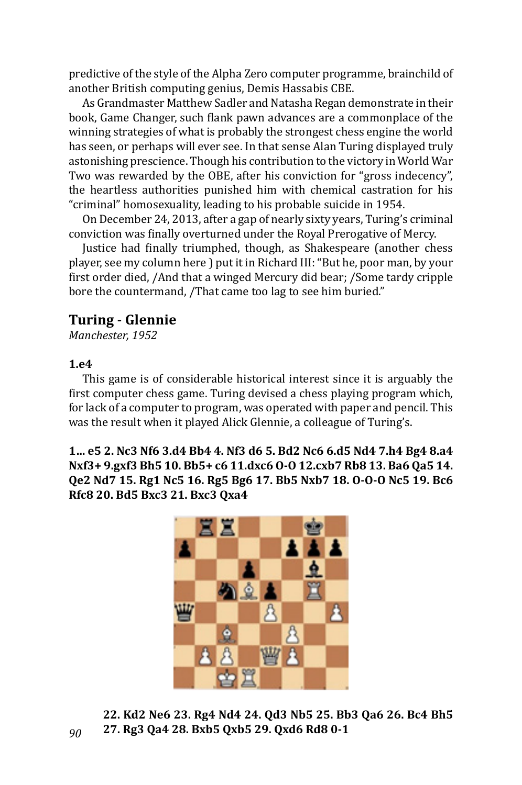predictive of the style of the Alpha Zero computer programme, brainchild of another British computing genius, Demis Hassabis CBE.

As Grandmaster Matthew Sadler and Natasha Regan demonstrate in their book, Game Changer, such flank pawn advances are a commonplace of the winning strategies of what is probably the strongest chess engine the world has seen, or perhaps will ever see. In that sense Alan Turing displayed truly astonishing prescience. Though his contribution to the victory in World War Two was rewarded by the OBE, after his conviction for "gross indecency", the heartless authorities punished him with chemical castration for his "criminal" homosexuality, leading to his probable suicide in 1954.

On December 24, 2013, after a gap of nearly sixty years, Turing's criminal conviction was finally overturned under the Royal Prerogative of Mercy.

Justice had finally triumphed, though, as Shakespeare (another chess player, see my column here ) put it in Richard III: "But he, poor man, by your first order died, /And that a winged Mercury did bear; /Some tardy cripple bore the countermand, /That came too lag to see him buried."

## **Turing - Glennie**

*Manchester, 1952*

## **1.e4**

This game is of considerable historical interest since it is arguably the first computer chess game. Turing devised a chess playing program which, for lack of a computer to program, was operated with paper and pencil. This was the result when it played Alick Glennie, a colleague of Turing's.

**1… e5 2. Nc3 Nf6 3.d4 Bb4 4. Nf3 d6 5. Bd2 Nc6 6.d5 Nd4 7.h4 Bg4 8.a4 Nxf3+ 9.gxf3 Bh5 10. Bb5+ c6 11.dxc6 O-O 12.cxb7 Rb8 13. Ba6 Qa5 14. Qe2 Nd7 15. Rg1 Nc5 16. Rg5 Bg6 17. Bb5 Nxb7 18. O-O-O Nc5 19. Bc6 Rfc8 20. Bd5 Bxc3 21. Bxc3 Qxa4** 



**22. Kd2 Ne6 23. Rg4 Nd4 24. Qd3 Nb5 25. Bb3 Qa6 26. Bc4 Bh5 27. Rg3 Qa4 28. Bxb5 Qxb5 29. Qxd6 Rd8 0-1**

*90*